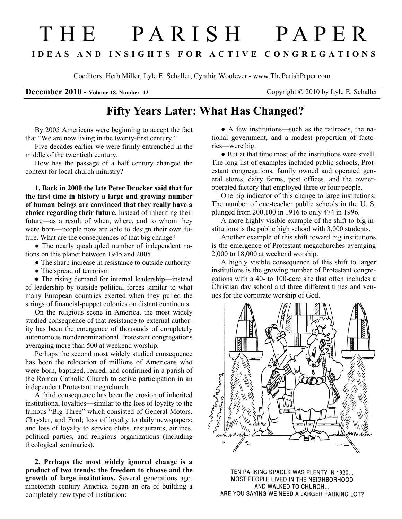## T H E P A R I S H P A P E R I D E A S A N D I N S I G H T S F O R A C T I V E C O N G R E G A T I O N S

Coeditors: Herb Miller, Lyle E. Schaller, Cynthia Woolever - www.TheParishPaper.com

**December 2010 - Volume 18, Number 12** Copyright © 2010 by Lyle E. Schaller

## Fifty Years Later: What Has Changed?

By 2005 Americans were beginning to accept the fact that "We are now living in the twenty-first century."

Five decades earlier we were firmly entrenched in the middle of the twentieth century.

How has the passage of a half century changed the context for local church ministry?

1. Back in 2000 the late Peter Drucker said that for the first time in history a large and growing number of human beings are convinced that they really have a choice regarding their future. Instead of inheriting their future—as a result of when, where, and to whom they were born—people now are able to design their own future. What are the consequences of that big change?

• The nearly quadrupled number of independent nations on this planet between 1945 and 2005

• The sharp increase in resistance to outside authority

• The spread of terrorism

• The rising demand for internal leadership—instead of leadership by outside political forces similar to what many European countries exerted when they pulled the strings of financial-puppet colonies on distant continents

On the religious scene in America, the most widely studied consequence of that resistance to external authority has been the emergence of thousands of completely autonomous nondenominational Protestant congregations averaging more than 500 at weekend worship.

Perhaps the second most widely studied consequence has been the relocation of millions of Americans who were born, baptized, reared, and confirmed in a parish of the Roman Catholic Church to active participation in an independent Protestant megachurch.

A third consequence has been the erosion of inherited institutional loyalties—similar to the loss of loyalty to the famous "Big Three" which consisted of General Motors, Chrysler, and Ford; loss of loyalty to daily newspapers; and loss of loyalty to service clubs, restaurants, airlines, political parties, and religious organizations (including theological seminaries).

2. Perhaps the most widely ignored change is a product of two trends: the freedom to choose and the growth of large institutions. Several generations ago, nineteenth century America began an era of building a completely new type of institution:

• A few institutions—such as the railroads, the national government, and a modest proportion of factories—were big.

● But at that time most of the institutions were small. The long list of examples included public schools, Protestant congregations, family owned and operated general stores, dairy farms, post offices, and the owneroperated factory that employed three or four people.

One big indicator of this change to large institutions: The number of one-teacher public schools in the U. S. plunged from 200,100 in 1916 to only 474 in 1996.

A more highly visible example of the shift to big institutions is the public high school with 3,000 students.

Another example of this shift toward big institutions is the emergence of Protestant megachurches averaging 2,000 to 18,000 at weekend worship.

A highly visible consequence of this shift to larger institutions is the growing number of Protestant congregations with a 40- to 100-acre site that often includes a Christian day school and three different times and venues for the corporate worship of God.



TEN PARKING SPACES WAS PLENTY IN 1920... MOST PEOPLE LIVED IN THE NEIGHBORHOOD AND WALKED TO CHURCH... ARE YOU SAYING WE NEED A LARGER PARKING LOT?